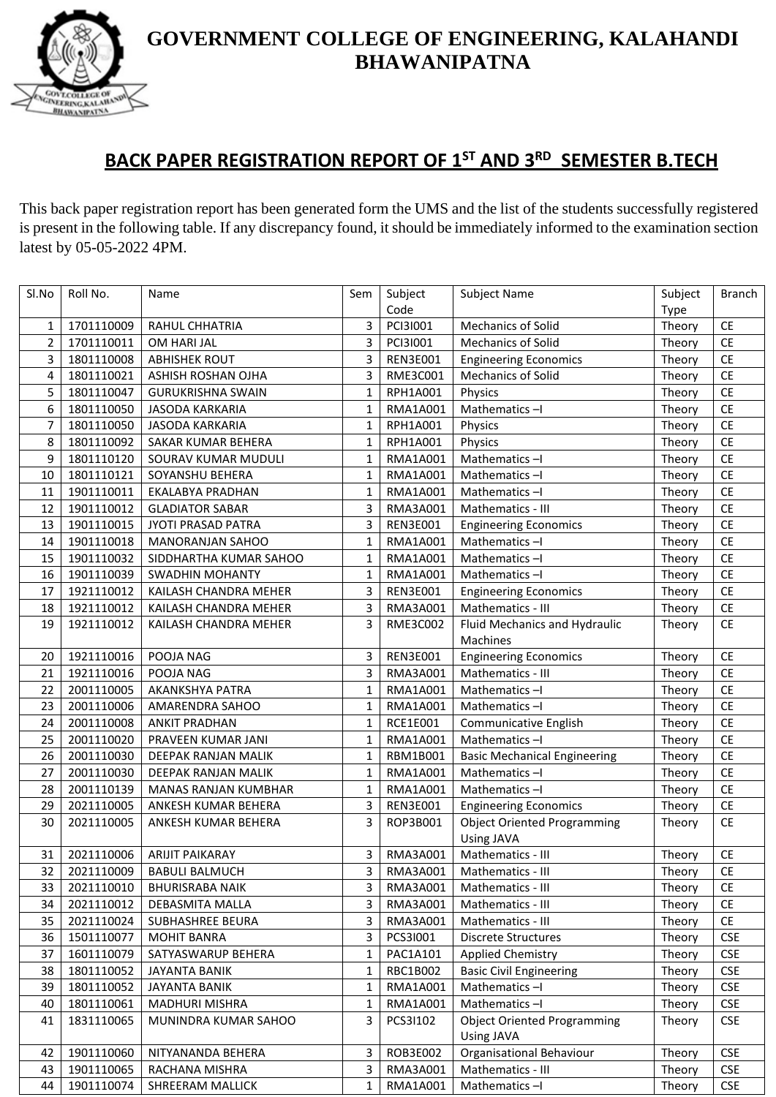

#### **BACK PAPER REGISTRATION REPORT OF 1 ST AND 3RD SEMESTER B.TECH**

This back paper registration report has been generated form the UMS and the list of the students successfully registered is present in the following table. If any discrepancy found, it should be immediately informed to the examination section latest by 05-05-2022 4PM.

**GINEERING,KALA BHAWANIPATNA** 

| Sl.No | Roll No.   | Name                     | Sem          | Subject         | Subject Name                        | Subject | <b>Branch</b> |
|-------|------------|--------------------------|--------------|-----------------|-------------------------------------|---------|---------------|
|       |            |                          |              | Code            |                                     | Type    |               |
| 1     | 1701110009 | RAHUL CHHATRIA           | 3            | PCI3I001        | <b>Mechanics of Solid</b>           | Theory  | <b>CE</b>     |
| 2     | 1701110011 | OM HARI JAL              | 3            | PCI3I001        | Mechanics of Solid                  | Theory  | <b>CE</b>     |
| 3     | 1801110008 | <b>ABHISHEK ROUT</b>     | 3            | <b>REN3E001</b> | <b>Engineering Economics</b>        | Theory  | CE            |
| 4     | 1801110021 | ASHISH ROSHAN OJHA       | 3            | <b>RME3C001</b> | Mechanics of Solid                  | Theory  | CE            |
| 5     | 1801110047 | <b>GURUKRISHNA SWAIN</b> | $\mathbf{1}$ | RPH1A001        | Physics                             | Theory  | CE            |
| 6     | 1801110050 | <b>JASODA KARKARIA</b>   | $\mathbf{1}$ | RMA1A001        | Mathematics-I                       | Theory  | CE            |
| 7     | 1801110050 | <b>JASODA KARKARIA</b>   | 1            | RPH1A001        | Physics                             | Theory  | <b>CE</b>     |
| 8     | 1801110092 | SAKAR KUMAR BEHERA       | 1            | RPH1A001        | Physics                             | Theory  | CE            |
| 9     | 1801110120 | SOURAV KUMAR MUDULI      | $\mathbf{1}$ | RMA1A001        | Mathematics-I                       | Theory  | CE            |
| 10    | 1801110121 | SOYANSHU BEHERA          | $\mathbf{1}$ | RMA1A001        | Mathematics-I                       | Theory  | CE            |
| 11    | 1901110011 | EKALABYA PRADHAN         | $\mathbf{1}$ | RMA1A001        | Mathematics-I                       | Theory  | CE            |
| 12    | 1901110012 | <b>GLADIATOR SABAR</b>   | 3            | RMA3A001        | Mathematics - III                   | Theory  | CE            |
| 13    | 1901110015 | JYOTI PRASAD PATRA       | 3            | <b>REN3E001</b> | <b>Engineering Economics</b>        | Theory  | CE            |
| 14    | 1901110018 | <b>MANORANJAN SAHOO</b>  | $\mathbf{1}$ | RMA1A001        | Mathematics-I                       | Theory  | CE            |
| 15    | 1901110032 | SIDDHARTHA KUMAR SAHOO   | $\mathbf{1}$ | RMA1A001        | Mathematics-I                       | Theory  | CE            |
| 16    | 1901110039 | <b>SWADHIN MOHANTY</b>   | $\mathbf{1}$ | RMA1A001        | Mathematics-I                       | Theory  | CE            |
| 17    | 1921110012 | KAILASH CHANDRA MEHER    | 3            | <b>REN3E001</b> | <b>Engineering Economics</b>        | Theory  | <b>CE</b>     |
| 18    | 1921110012 | KAILASH CHANDRA MEHER    | 3            | RMA3A001        | Mathematics - III                   | Theory  | CE            |
| 19    | 1921110012 | KAILASH CHANDRA MEHER    | 3            | RME3C002        | Fluid Mechanics and Hydraulic       | Theory  | CE            |
|       |            |                          |              |                 | Machines                            |         |               |
| 20    | 1921110016 | POOJA NAG                | 3            | <b>REN3E001</b> | <b>Engineering Economics</b>        | Theory  | <b>CE</b>     |
| 21    | 1921110016 | POOJA NAG                | 3            | RMA3A001        | Mathematics - III                   | Theory  | CE            |
| 22    | 2001110005 | AKANKSHYA PATRA          | $\mathbf{1}$ | RMA1A001        | Mathematics-I                       | Theory  | CE            |
| 23    | 2001110006 | AMARENDRA SAHOO          | $\mathbf{1}$ | RMA1A001        | Mathematics-I                       | Theory  | CE            |
| 24    | 2001110008 | <b>ANKIT PRADHAN</b>     | 1            | RCE1E001        | Communicative English               | Theory  | <b>CE</b>     |
| 25    | 2001110020 | PRAVEEN KUMAR JANI       | $\mathbf{1}$ | RMA1A001        | Mathematics-I                       | Theory  | <b>CE</b>     |
| 26    | 2001110030 | DEEPAK RANJAN MALIK      | $\mathbf{1}$ | RBM1B001        | <b>Basic Mechanical Engineering</b> | Theory  | CE            |
| 27    | 2001110030 | DEEPAK RANJAN MALIK      | 1            | RMA1A001        | Mathematics-I                       | Theory  | CE            |
| 28    | 2001110139 | MANAS RANJAN KUMBHAR     | $\mathbf{1}$ | RMA1A001        | Mathematics-I                       | Theory  | CE            |
| 29    | 2021110005 | ANKESH KUMAR BEHERA      | 3            | <b>REN3E001</b> | <b>Engineering Economics</b>        | Theory  | CE            |
| 30    | 2021110005 | ANKESH KUMAR BEHERA      | 3            | ROP3B001        | <b>Object Oriented Programming</b>  | Theory  | <b>CE</b>     |
|       |            |                          |              |                 | <b>Using JAVA</b>                   |         |               |
| 31    | 2021110006 | <b>ARIJIT PAIKARAY</b>   | 3            | RMA3A001        | Mathematics - III                   | Theory  | CE            |
| 32    | 2021110009 | <b>BABULI BALMUCH</b>    | 3            | <b>RMA3A001</b> | Mathematics - III                   | Theory  | CE            |
| 33    | 2021110010 | <b>BHURISRABA NAIK</b>   | 3            | RMA3A001        | Mathematics - III                   | Theory  | <b>CE</b>     |
| 34    | 2021110012 | DEBASMITA MALLA          | 3            | RMA3A001        | Mathematics - III                   | Theory  | <b>CE</b>     |
| 35    | 2021110024 | SUBHASHREE BEURA         | 3            | RMA3A001        | Mathematics - III                   | Theory  | CE            |
| 36    | 1501110077 | <b>MOHIT BANRA</b>       | 3            | PCS31001        | <b>Discrete Structures</b>          | Theory  | <b>CSE</b>    |
| 37    | 1601110079 | SATYASWARUP BEHERA       | 1            | PAC1A101        | <b>Applied Chemistry</b>            | Theory  | <b>CSE</b>    |
| 38    | 1801110052 | <b>JAYANTA BANIK</b>     | 1            | RBC1B002        | <b>Basic Civil Engineering</b>      | Theory  | <b>CSE</b>    |
| 39    | 1801110052 | <b>JAYANTA BANIK</b>     | 1            | RMA1A001        | Mathematics-I                       | Theory  | <b>CSE</b>    |
| 40    | 1801110061 | <b>MADHURI MISHRA</b>    | 1            | RMA1A001        | Mathematics-I                       | Theory  | <b>CSE</b>    |
| 41    | 1831110065 | MUNINDRA KUMAR SAHOO     | 3            | PCS3I102        | <b>Object Oriented Programming</b>  | Theory  | <b>CSE</b>    |
|       |            |                          |              |                 | Using JAVA                          |         |               |
| 42    | 1901110060 | NITYANANDA BEHERA        | 3            | ROB3E002        | Organisational Behaviour            | Theory  | <b>CSE</b>    |
| 43    | 1901110065 | RACHANA MISHRA           | 3            | RMA3A001        | Mathematics - III                   | Theory  | <b>CSE</b>    |
| 44    | 1901110074 | SHREERAM MALLICK         | $\mathbf{1}$ | RMA1A001        | Mathematics-I                       | Theory  | <b>CSE</b>    |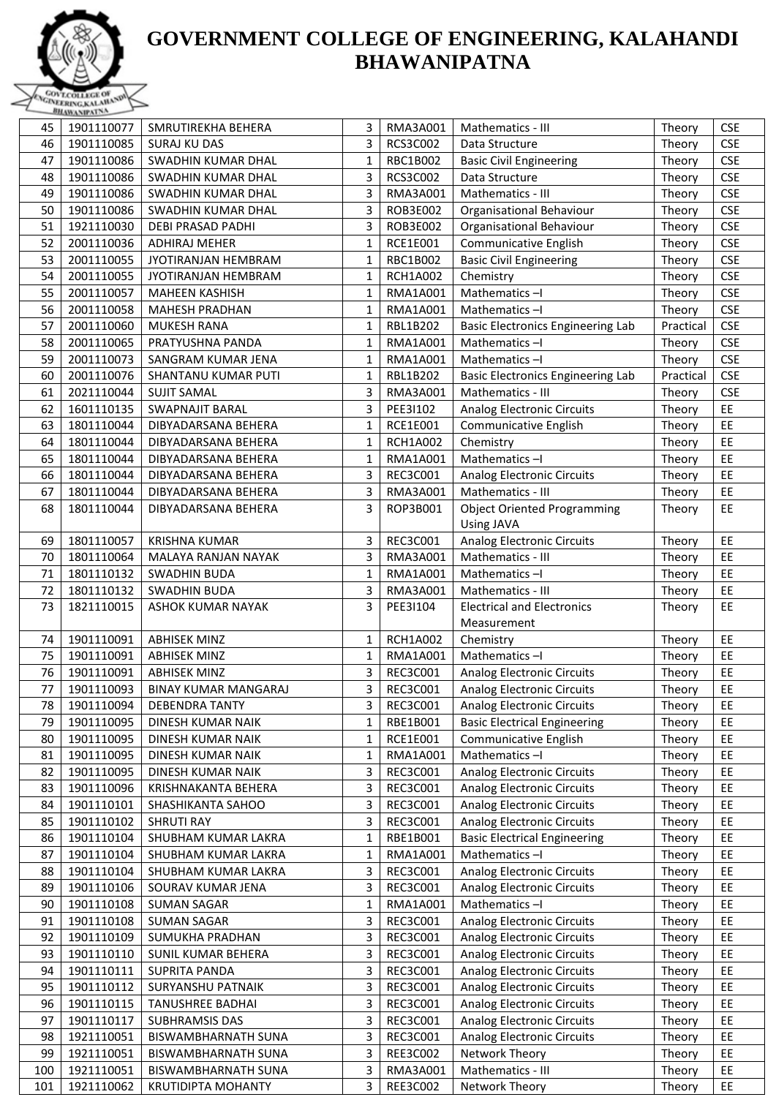

|     | <b>COMMANDATION</b> |                            |              |                 |                                                  |           |            |
|-----|---------------------|----------------------------|--------------|-----------------|--------------------------------------------------|-----------|------------|
| 45  | 1901110077          | SMRUTIREKHA BEHERA         | 3            | RMA3A001        | Mathematics - III                                | Theory    | <b>CSE</b> |
| 46  | 1901110085          | <b>SURAJ KU DAS</b>        | 3            | RCS3C002        | Data Structure                                   | Theory    | <b>CSE</b> |
| 47  | 1901110086          | SWADHIN KUMAR DHAL         | 1            | RBC1B002        | <b>Basic Civil Engineering</b>                   | Theory    | <b>CSE</b> |
| 48  | 1901110086          | SWADHIN KUMAR DHAL         | 3            | RCS3C002        | Data Structure                                   | Theory    | <b>CSE</b> |
| 49  | 1901110086          | SWADHIN KUMAR DHAL         | 3            | RMA3A001        | Mathematics - III                                | Theory    | <b>CSE</b> |
| 50  | 1901110086          | SWADHIN KUMAR DHAL         | 3            | ROB3E002        | Organisational Behaviour                         | Theory    | <b>CSE</b> |
| 51  | 1921110030          | <b>DEBI PRASAD PADHI</b>   | 3            | ROB3E002        | Organisational Behaviour                         | Theory    | <b>CSE</b> |
| 52  | 2001110036          | <b>ADHIRAJ MEHER</b>       | 1            | RCE1E001        | Communicative English                            | Theory    | <b>CSE</b> |
| 53  | 2001110055          | <b>JYOTIRANJAN HEMBRAM</b> | $\mathbf{1}$ | RBC1B002        | <b>Basic Civil Engineering</b>                   | Theory    | <b>CSE</b> |
| 54  | 2001110055          | <b>JYOTIRANJAN HEMBRAM</b> | 1            | <b>RCH1A002</b> | Chemistry                                        | Theory    | <b>CSE</b> |
| 55  | 2001110057          | <b>MAHEEN KASHISH</b>      | 1            | RMA1A001        | Mathematics-I                                    | Theory    | <b>CSE</b> |
| 56  | 2001110058          | <b>MAHESH PRADHAN</b>      | 1            | RMA1A001        | Mathematics-I                                    | Theory    | <b>CSE</b> |
| 57  | 2001110060          | <b>MUKESH RANA</b>         | 1            | RBL1B202        | <b>Basic Electronics Engineering Lab</b>         | Practical | <b>CSE</b> |
| 58  | 2001110065          | PRATYUSHNA PANDA           | 1            | RMA1A001        | Mathematics-I                                    | Theory    | <b>CSE</b> |
| 59  | 2001110073          | SANGRAM KUMAR JENA         | 1            | RMA1A001        | Mathematics-I                                    | Theory    | <b>CSE</b> |
| 60  | 2001110076          | SHANTANU KUMAR PUTI        | 1            | RBL1B202        | <b>Basic Electronics Engineering Lab</b>         | Practical | <b>CSE</b> |
| 61  | 2021110044          | <b>SUJIT SAMAL</b>         | 3            | RMA3A001        | Mathematics - III                                | Theory    | <b>CSE</b> |
| 62  | 1601110135          | <b>SWAPNAJIT BARAL</b>     | 3            | PEE31102        | <b>Analog Electronic Circuits</b>                | Theory    | EE         |
| 63  | 1801110044          | DIBYADARSANA BEHERA        | 1            | RCE1E001        | Communicative English                            |           | EE         |
|     |                     |                            |              |                 |                                                  | Theory    | EE         |
| 64  | 1801110044          | DIBYADARSANA BEHERA        | 1            | <b>RCH1A002</b> | Chemistry                                        | Theory    |            |
| 65  | 1801110044          | DIBYADARSANA BEHERA        | 1            | RMA1A001        | Mathematics-I                                    | Theory    | EE         |
| 66  | 1801110044          | DIBYADARSANA BEHERA        | 3            | REC3C001        | <b>Analog Electronic Circuits</b>                | Theory    | EE         |
| 67  | 1801110044          | DIBYADARSANA BEHERA        | 3            | RMA3A001        | Mathematics - III                                | Theory    | EE         |
| 68  | 1801110044          | DIBYADARSANA BEHERA        | 3            | ROP3B001        | <b>Object Oriented Programming</b><br>Using JAVA | Theory    | EE         |
| 69  | 1801110057          | <b>KRISHNA KUMAR</b>       | 3            | REC3C001        | <b>Analog Electronic Circuits</b>                | Theory    | EE         |
| 70  | 1801110064          | MALAYA RANJAN NAYAK        | 3            | RMA3A001        | Mathematics - III                                | Theory    | EE         |
| 71  | 1801110132          | <b>SWADHIN BUDA</b>        | $\mathbf{1}$ | RMA1A001        | Mathematics-I                                    | Theory    | EE         |
| 72  | 1801110132          | <b>SWADHIN BUDA</b>        | 3            | RMA3A001        | Mathematics - III                                | Theory    | EE         |
| 73  | 1821110015          | <b>ASHOK KUMAR NAYAK</b>   | 3            | PEE31104        | <b>Electrical and Electronics</b>                | Theory    | EE         |
|     |                     |                            |              |                 | Measurement                                      |           |            |
| 74  | 1901110091          | <b>ABHISEK MINZ</b>        | 1            | <b>RCH1A002</b> | Chemistry                                        | Theory    | EE         |
| 75  | 1901110091          | <b>ABHISEK MINZ</b>        | 1            | RMA1A001        | Mathematics-I                                    | Theory    | EE         |
| 76  |                     | <b>ABHISEK MINZ</b>        |              |                 | <b>Analog Electronic Circuits</b>                |           | EE         |
|     | 1901110091          |                            | 3            | REC3C001        |                                                  | Theory    |            |
| 77  | 1901110093          | BINAY KUMAR MANGARAJ       | 3            | <b>REC3C001</b> | <b>Analog Electronic Circuits</b>                | Theory    | EE         |
| 78  | 1901110094          | <b>DEBENDRA TANTY</b>      | 3            | REC3C001        | <b>Analog Electronic Circuits</b>                | Theory    | EE         |
| 79  | 1901110095          | DINESH KUMAR NAIK          | 1            | RBE1B001        | <b>Basic Electrical Engineering</b>              | Theory    | EE         |
| 80  | 1901110095          | DINESH KUMAR NAIK          | 1            | RCE1E001        | Communicative English                            | Theory    | EE         |
| 81  | 1901110095          | DINESH KUMAR NAIK          | 1            | RMA1A001        | Mathematics-I                                    | Theory    | EE         |
| 82  | 1901110095          | DINESH KUMAR NAIK          | 3            | REC3C001        | <b>Analog Electronic Circuits</b>                | Theory    | EE         |
| 83  | 1901110096          | KRISHNAKANTA BEHERA        | 3            | REC3C001        | <b>Analog Electronic Circuits</b>                | Theory    | EE         |
| 84  | 1901110101          | SHASHIKANTA SAHOO          | 3            | REC3C001        | <b>Analog Electronic Circuits</b>                | Theory    | EE         |
| 85  | 1901110102          | <b>SHRUTI RAY</b>          | 3            | REC3C001        | <b>Analog Electronic Circuits</b>                | Theory    | EE         |
| 86  | 1901110104          | SHUBHAM KUMAR LAKRA        | 1            | RBE1B001        | <b>Basic Electrical Engineering</b>              | Theory    | EE         |
| 87  | 1901110104          | SHUBHAM KUMAR LAKRA        | 1            | RMA1A001        | Mathematics-I                                    | Theory    | EE         |
| 88  | 1901110104          | SHUBHAM KUMAR LAKRA        | 3            | REC3C001        | <b>Analog Electronic Circuits</b>                | Theory    | EE         |
| 89  | 1901110106          | SOURAV KUMAR JENA          | 3            | REC3C001        | <b>Analog Electronic Circuits</b>                | Theory    | EE         |
| 90  | 1901110108          | <b>SUMAN SAGAR</b>         | 1            | RMA1A001        | Mathematics-I                                    | Theory    | EE         |
| 91  | 1901110108          | <b>SUMAN SAGAR</b>         | 3            | REC3C001        | Analog Electronic Circuits                       | Theory    | EE         |
| 92  | 1901110109          | SUMUKHA PRADHAN            | 3            | REC3C001        | <b>Analog Electronic Circuits</b>                | Theory    | EE         |
| 93  | 1901110110          | SUNIL KUMAR BEHERA         | 3            | REC3C001        | <b>Analog Electronic Circuits</b>                | Theory    | EE         |
| 94  | 1901110111          | SUPRITA PANDA              | 3            | REC3C001        | <b>Analog Electronic Circuits</b>                | Theory    | EE         |
| 95  | 1901110112          | SURYANSHU PATNAIK          | 3            | REC3C001        | <b>Analog Electronic Circuits</b>                | Theory    | EE         |
| 96  | 1901110115          | <b>TANUSHREE BADHAI</b>    | 3            | REC3C001        | <b>Analog Electronic Circuits</b>                | Theory    | EE         |
| 97  | 1901110117          | <b>SUBHRAMSIS DAS</b>      | 3            | REC3C001        | <b>Analog Electronic Circuits</b>                | Theory    | EE         |
| 98  |                     |                            |              | REC3C001        | <b>Analog Electronic Circuits</b>                |           | EE         |
|     | 1921110051          | BISWAMBHARNATH SUNA        | 3            |                 |                                                  | Theory    |            |
| 99  | 1921110051          | <b>BISWAMBHARNATH SUNA</b> | 3            | REE3C002        | Network Theory                                   | Theory    | EE         |
| 100 | 1921110051          | BISWAMBHARNATH SUNA        | 3            | RMA3A001        | Mathematics - III                                | Theory    | EE         |
| 101 | 1921110062          | <b>KRUTIDIPTA MOHANTY</b>  | 3            | REE3C002        | Network Theory                                   | Theory    | EE         |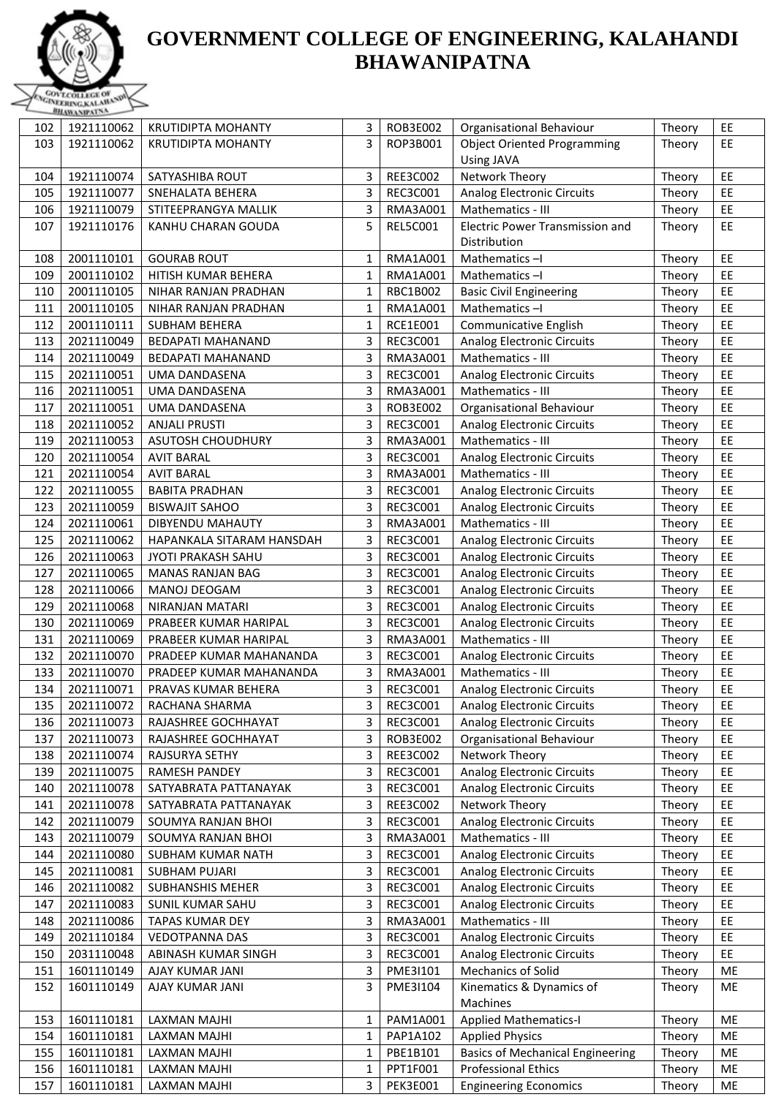

| 102 | 1921110062 | <b>KRUTIDIPTA MOHANTY</b> | 3            | ROB3E002        | Organisational Behaviour                | Theory | EE |
|-----|------------|---------------------------|--------------|-----------------|-----------------------------------------|--------|----|
| 103 | 1921110062 | <b>KRUTIDIPTA MOHANTY</b> | 3            | ROP3B001        | <b>Object Oriented Programming</b>      | Theory | EE |
|     |            |                           |              |                 | Using JAVA                              |        |    |
| 104 | 1921110074 | SATYASHIBA ROUT           | 3            | REE3C002        | Network Theory                          | Theory | EE |
| 105 | 1921110077 | SNEHALATA BEHERA          | 3            | REC3C001        | <b>Analog Electronic Circuits</b>       | Theory | EE |
|     |            | STITEEPRANGYA MALLIK      | 3            |                 | Mathematics - III                       |        | EE |
| 106 | 1921110079 |                           |              | RMA3A001        |                                         | Theory |    |
| 107 | 1921110176 | KANHU CHARAN GOUDA        | 5            | <b>REL5C001</b> | <b>Electric Power Transmission and</b>  | Theory | EE |
|     |            |                           |              |                 | Distribution                            |        |    |
| 108 | 2001110101 | <b>GOURAB ROUT</b>        | 1            | RMA1A001        | Mathematics-I                           | Theory | EE |
| 109 | 2001110102 | HITISH KUMAR BEHERA       | $\mathbf{1}$ | RMA1A001        | Mathematics-I                           | Theory | EE |
| 110 | 2001110105 | NIHAR RANJAN PRADHAN      | 1            | RBC1B002        | <b>Basic Civil Engineering</b>          | Theory | EE |
| 111 | 2001110105 | NIHAR RANJAN PRADHAN      | 1            | RMA1A001        | Mathematics-I                           | Theory | EE |
| 112 | 2001110111 | <b>SUBHAM BEHERA</b>      | $\mathbf{1}$ | RCE1E001        | Communicative English                   | Theory | EE |
| 113 | 2021110049 | <b>BEDAPATI MAHANAND</b>  | 3            | REC3C001        | <b>Analog Electronic Circuits</b>       | Theory | EE |
| 114 | 2021110049 | <b>BEDAPATI MAHANAND</b>  | 3            | RMA3A001        | Mathematics - III                       | Theory | EE |
| 115 | 2021110051 | UMA DANDASENA             | 3            | REC3C001        | <b>Analog Electronic Circuits</b>       | Theory | EE |
| 116 | 2021110051 | UMA DANDASENA             | 3            | RMA3A001        | Mathematics - III                       | Theory | EE |
| 117 | 2021110051 | UMA DANDASENA             | 3            | ROB3E002        | Organisational Behaviour                | Theory | EE |
| 118 | 2021110052 | <b>ANJALI PRUSTI</b>      | 3            | REC3C001        | <b>Analog Electronic Circuits</b>       | Theory | EE |
| 119 | 2021110053 | <b>ASUTOSH CHOUDHURY</b>  | 3            | RMA3A001        | Mathematics - III                       | Theory | EE |
| 120 | 2021110054 | <b>AVIT BARAL</b>         | 3            | REC3C001        | <b>Analog Electronic Circuits</b>       | Theory | EE |
| 121 | 2021110054 | <b>AVIT BARAL</b>         | 3            | RMA3A001        | Mathematics - III                       | Theory | EE |
| 122 | 2021110055 | <b>BABITA PRADHAN</b>     | 3            | REC3C001        | <b>Analog Electronic Circuits</b>       | Theory | EE |
| 123 | 2021110059 | <b>BISWAJIT SAHOO</b>     | 3            | REC3C001        | <b>Analog Electronic Circuits</b>       | Theory | EE |
| 124 | 2021110061 | DIBYENDU MAHAUTY          | 3            | RMA3A001        | Mathematics - III                       | Theory | EE |
| 125 | 2021110062 | HAPANKALA SITARAM HANSDAH | 3            | REC3C001        | <b>Analog Electronic Circuits</b>       | Theory | EE |
| 126 | 2021110063 | JYOTI PRAKASH SAHU        | 3            | REC3C001        |                                         |        | EE |
|     | 2021110065 |                           |              |                 | <b>Analog Electronic Circuits</b>       | Theory | EE |
| 127 |            | <b>MANAS RANJAN BAG</b>   | 3            | REC3C001        | <b>Analog Electronic Circuits</b>       | Theory |    |
| 128 | 2021110066 | MANOJ DEOGAM              | 3            | REC3C001        | <b>Analog Electronic Circuits</b>       | Theory | EE |
| 129 | 2021110068 | NIRANJAN MATARI           | 3            | REC3C001        | <b>Analog Electronic Circuits</b>       | Theory | EE |
| 130 | 2021110069 | PRABEER KUMAR HARIPAL     | 3            | REC3C001        | <b>Analog Electronic Circuits</b>       | Theory | EE |
| 131 | 2021110069 | PRABEER KUMAR HARIPAL     | 3            | RMA3A001        | Mathematics - III                       | Theory | EE |
| 132 | 2021110070 | PRADEEP KUMAR MAHANANDA   | 3            | REC3C001        | <b>Analog Electronic Circuits</b>       | Theory | EE |
| 133 | 2021110070 | PRADEEP KUMAR MAHANANDA   | 3            | RMA3A001        | Mathematics - III                       | Theory | EE |
| 134 | 2021110071 | PRAVAS KUMAR BEHERA       | 3            | REC3C001        | Analog Electronic Circuits              | Theory | EE |
| 135 | 2021110072 | RACHANA SHARMA            | 3            | REC3C001        | <b>Analog Electronic Circuits</b>       | Theory | EE |
| 136 | 2021110073 | RAJASHREE GOCHHAYAT       | 3            | REC3C001        | <b>Analog Electronic Circuits</b>       | Theory | EE |
| 137 | 2021110073 | RAJASHREE GOCHHAYAT       | 3            | ROB3E002        | Organisational Behaviour                | Theory | EE |
| 138 | 2021110074 | RAJSURYA SETHY            | 3            | REE3C002        | Network Theory                          | Theory | EE |
| 139 | 2021110075 | RAMESH PANDEY             | 3            | REC3C001        | <b>Analog Electronic Circuits</b>       | Theory | EE |
| 140 | 2021110078 | SATYABRATA PATTANAYAK     | 3            | REC3C001        | <b>Analog Electronic Circuits</b>       | Theory | EE |
| 141 | 2021110078 | SATYABRATA PATTANAYAK     | 3            | REE3C002        | Network Theory                          | Theory | EE |
| 142 | 2021110079 | SOUMYA RANJAN BHOI        | 3            | REC3C001        | <b>Analog Electronic Circuits</b>       | Theory | EE |
| 143 | 2021110079 | SOUMYA RANJAN BHOI        | 3            | RMA3A001        | Mathematics - III                       | Theory | EE |
| 144 | 2021110080 | SUBHAM KUMAR NATH         | 3            | REC3C001        | <b>Analog Electronic Circuits</b>       | Theory | EE |
| 145 | 2021110081 | <b>SUBHAM PUJARI</b>      | 3            | REC3C001        | <b>Analog Electronic Circuits</b>       | Theory | EE |
| 146 | 2021110082 | SUBHANSHIS MEHER          | 3            | REC3C001        | <b>Analog Electronic Circuits</b>       | Theory | EE |
| 147 | 2021110083 | SUNIL KUMAR SAHU          | 3            | REC3C001        | <b>Analog Electronic Circuits</b>       | Theory | EE |
| 148 | 2021110086 | <b>TAPAS KUMAR DEY</b>    | 3            | RMA3A001        | Mathematics - III                       | Theory | EE |
| 149 | 2021110184 | <b>VEDOTPANNA DAS</b>     | 3            | REC3C001        | <b>Analog Electronic Circuits</b>       | Theory | EE |
|     | 2031110048 |                           | 3            | REC3C001        |                                         |        | EE |
| 150 |            | ABINASH KUMAR SINGH       |              |                 | <b>Analog Electronic Circuits</b>       | Theory |    |
| 151 | 1601110149 | AJAY KUMAR JANI           | 3            | PME3I101        | Mechanics of Solid                      | Theory | ME |
| 152 | 1601110149 | AJAY KUMAR JANI           | 3            | PME3I104        | Kinematics & Dynamics of                | Theory | ME |
|     |            |                           |              |                 | Machines                                |        |    |
| 153 | 1601110181 | LAXMAN MAJHI              | 1            | PAM1A001        | <b>Applied Mathematics-I</b>            | Theory | ME |
| 154 | 1601110181 | LAXMAN MAJHI              | 1            | PAP1A102        | <b>Applied Physics</b>                  | Theory | ME |
| 155 | 1601110181 | LAXMAN MAJHI              | $\mathbf{1}$ | PBE1B101        | <b>Basics of Mechanical Engineering</b> | Theory | ME |
| 156 | 1601110181 | LAXMAN MAJHI              | 1            | PPT1F001        | <b>Professional Ethics</b>              | Theory | ME |
| 157 | 1601110181 | LAXMAN MAJHI              | 3            | <b>PEK3E001</b> | <b>Engineering Economics</b>            | Theory | ME |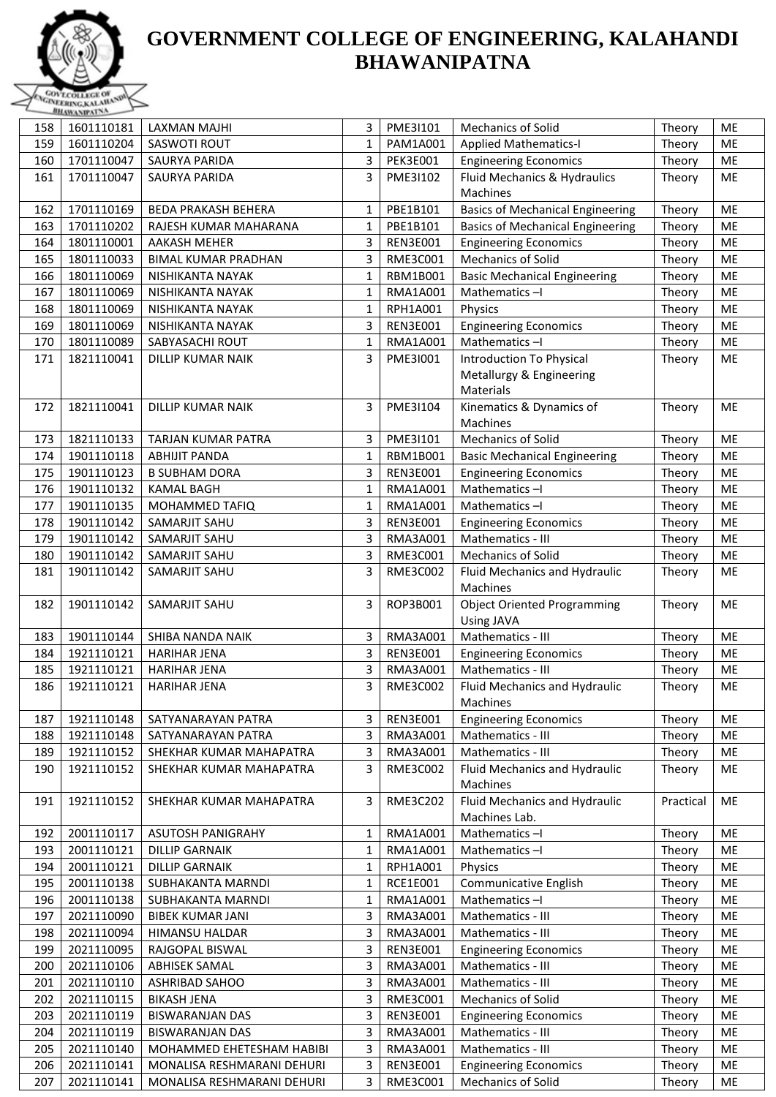

|     | <b>PRAWANTAL SALE</b> |                            |              |                 |                                         |           |           |
|-----|-----------------------|----------------------------|--------------|-----------------|-----------------------------------------|-----------|-----------|
| 158 | 1601110181            | <b>LAXMAN MAJHI</b>        | 3            | PME3I101        | <b>Mechanics of Solid</b>               | Theory    | ME        |
| 159 | 1601110204            | SASWOTI ROUT               | 1            | PAM1A001        | <b>Applied Mathematics-I</b>            | Theory    | ME        |
| 160 | 1701110047            | SAURYA PARIDA              | 3            | <b>PEK3E001</b> | <b>Engineering Economics</b>            | Theory    | ME        |
| 161 | 1701110047            | <b>SAURYA PARIDA</b>       | 3            | PME3I102        | Fluid Mechanics & Hydraulics            | Theory    | ME        |
|     |                       |                            |              |                 | Machines                                |           |           |
| 162 | 1701110169            | <b>BEDA PRAKASH BEHERA</b> | $\mathbf{1}$ | PBE1B101        | <b>Basics of Mechanical Engineering</b> | Theory    | ME        |
| 163 | 1701110202            | RAJESH KUMAR MAHARANA      | $\mathbf{1}$ | PBE1B101        | <b>Basics of Mechanical Engineering</b> | Theory    | ME        |
| 164 | 1801110001            | <b>AAKASH MEHER</b>        | 3            | <b>REN3E001</b> | <b>Engineering Economics</b>            | Theory    | ME        |
| 165 | 1801110033            | <b>BIMAL KUMAR PRADHAN</b> | 3            | RME3C001        | Mechanics of Solid                      | Theory    | ME        |
| 166 | 1801110069            | NISHIKANTA NAYAK           | 1            | RBM1B001        | <b>Basic Mechanical Engineering</b>     | Theory    | ME        |
| 167 | 1801110069            | NISHIKANTA NAYAK           | 1            | RMA1A001        | Mathematics-I                           | Theory    | ME        |
| 168 | 1801110069            | NISHIKANTA NAYAK           | 1            | RPH1A001        | Physics                                 | Theory    | ME        |
|     |                       |                            | 3            |                 |                                         |           |           |
| 169 | 1801110069            | NISHIKANTA NAYAK           |              | <b>REN3E001</b> | <b>Engineering Economics</b>            | Theory    | ME        |
| 170 | 1801110089            | SABYASACHI ROUT            | 1            | RMA1A001        | Mathematics-I                           | Theory    | ME        |
| 171 | 1821110041            | <b>DILLIP KUMAR NAIK</b>   | 3            | PME31001        | Introduction To Physical                | Theory    | ME        |
|     |                       |                            |              |                 | Metallurgy & Engineering                |           |           |
|     |                       |                            |              |                 | Materials                               |           |           |
| 172 | 1821110041            | <b>DILLIP KUMAR NAIK</b>   | 3            | PME3I104        | Kinematics & Dynamics of                | Theory    | <b>ME</b> |
|     |                       |                            |              |                 | Machines                                |           |           |
| 173 | 1821110133            | TARJAN KUMAR PATRA         | 3            | PME3I101        | Mechanics of Solid                      | Theory    | ME        |
| 174 | 1901110118            | <b>ABHIJIT PANDA</b>       | $\mathbf{1}$ | RBM1B001        | <b>Basic Mechanical Engineering</b>     | Theory    | ME        |
| 175 | 1901110123            | <b>B SUBHAM DORA</b>       | 3            | <b>REN3E001</b> | <b>Engineering Economics</b>            | Theory    | ME        |
| 176 | 1901110132            | <b>KAMAL BAGH</b>          | 1            | <b>RMA1A001</b> | Mathematics-I                           | Theory    | ME        |
| 177 | 1901110135            | MOHAMMED TAFIQ             | $\mathbf{1}$ | RMA1A001        | Mathematics-I                           | Theory    | ME        |
| 178 | 1901110142            | SAMARJIT SAHU              | 3            | <b>REN3E001</b> | <b>Engineering Economics</b>            | Theory    | ME        |
| 179 | 1901110142            | SAMARJIT SAHU              | 3            | RMA3A001        | Mathematics - III                       | Theory    | ME        |
| 180 | 1901110142            | SAMARJIT SAHU              | 3            | RME3C001        | Mechanics of Solid                      | Theory    | ME        |
| 181 | 1901110142            | SAMARJIT SAHU              | 3            | RME3C002        | Fluid Mechanics and Hydraulic           | Theory    | ME        |
|     |                       |                            |              |                 | Machines                                |           |           |
| 182 | 1901110142            | SAMARJIT SAHU              | 3            | ROP3B001        | <b>Object Oriented Programming</b>      | Theory    | ME        |
|     |                       |                            |              |                 | <b>Using JAVA</b>                       |           |           |
| 183 | 1901110144            | SHIBA NANDA NAIK           | 3            | RMA3A001        | Mathematics - III                       | Theory    | ME        |
| 184 | 1921110121            | <b>HARIHAR JENA</b>        | 3            | <b>REN3E001</b> | <b>Engineering Economics</b>            | Theory    | ME        |
| 185 | 1921110121            | <b>HARIHAR JENA</b>        | 3            | RMA3A001        | Mathematics - III                       | Theory    | ME        |
| 186 | 1921110121            | <b>HARIHAR JENA</b>        | 3            | RME3C002        | Fluid Mechanics and Hydraulic           | Theory    | ME        |
|     |                       |                            |              |                 | Machines                                |           |           |
| 187 | 1921110148            | SATYANARAYAN PATRA         | 3            | <b>REN3E001</b> | <b>Engineering Economics</b>            | Theory    | ME        |
| 188 | 1921110148            | SATYANARAYAN PATRA         | 3            | RMA3A001        | Mathematics - III                       | Theory    | ME        |
| 189 | 1921110152            | SHEKHAR KUMAR MAHAPATRA    | 3            | RMA3A001        | Mathematics - III                       | Theory    | ME        |
| 190 | 1921110152            | SHEKHAR KUMAR MAHAPATRA    | 3            | RME3C002        | Fluid Mechanics and Hydraulic           | Theory    | ME        |
|     |                       |                            |              |                 | Machines                                |           |           |
| 191 | 1921110152            | SHEKHAR KUMAR MAHAPATRA    | 3            | RME3C202        | Fluid Mechanics and Hydraulic           | Practical | ME        |
|     |                       |                            |              |                 | Machines Lab.                           |           |           |
| 192 | 2001110117            | <b>ASUTOSH PANIGRAHY</b>   | $\mathbf{1}$ | RMA1A001        | Mathematics-I                           | Theory    | ME        |
| 193 | 2001110121            | <b>DILLIP GARNAIK</b>      | $\mathbf{1}$ | RMA1A001        | Mathematics-I                           | Theory    | ME        |
| 194 | 2001110121            | <b>DILLIP GARNAIK</b>      | $\mathbf{1}$ | RPH1A001        | Physics                                 | Theory    | ME        |
| 195 | 2001110138            | SUBHAKANTA MARNDI          | 1            | RCE1E001        | Communicative English                   | Theory    | ME        |
| 196 | 2001110138            | SUBHAKANTA MARNDI          | $\mathbf{1}$ | RMA1A001        | Mathematics-I                           | Theory    | ME        |
|     | 2021110090            |                            |              | RMA3A001        | Mathematics - III                       |           | ME        |
| 197 |                       | <b>BIBEK KUMAR JANI</b>    | 3<br>3       |                 |                                         | Theory    | ME        |
| 198 | 2021110094            | HIMANSU HALDAR             |              | RMA3A001        | Mathematics - III                       | Theory    |           |
| 199 | 2021110095            | RAJGOPAL BISWAL            | 3            | <b>REN3E001</b> | <b>Engineering Economics</b>            | Theory    | ME        |
| 200 | 2021110106            | <b>ABHISEK SAMAL</b>       | 3            | RMA3A001        | Mathematics - III                       | Theory    | ME        |
| 201 | 2021110110            | <b>ASHRIBAD SAHOO</b>      | 3            | RMA3A001        | Mathematics - III                       | Theory    | ME        |
| 202 | 2021110115            | <b>BIKASH JENA</b>         | 3            | RME3C001        | Mechanics of Solid                      | Theory    | ME        |
| 203 | 2021110119            | <b>BISWARANJAN DAS</b>     | 3            | <b>REN3E001</b> | <b>Engineering Economics</b>            | Theory    | ME        |
| 204 | 2021110119            | <b>BISWARANJAN DAS</b>     | 3            | RMA3A001        | Mathematics - III                       | Theory    | ME        |
| 205 | 2021110140            | MOHAMMED EHETESHAM HABIBI  | 3            | RMA3A001        | Mathematics - III                       | Theory    | ME        |
| 206 | 2021110141            | MONALISA RESHMARANI DEHURI | 3            | <b>REN3E001</b> | <b>Engineering Economics</b>            | Theory    | $ME$      |
| 207 | 2021110141            | MONALISA RESHMARANI DEHURI | 3            | RME3C001        | Mechanics of Solid                      | Theory    | ME        |